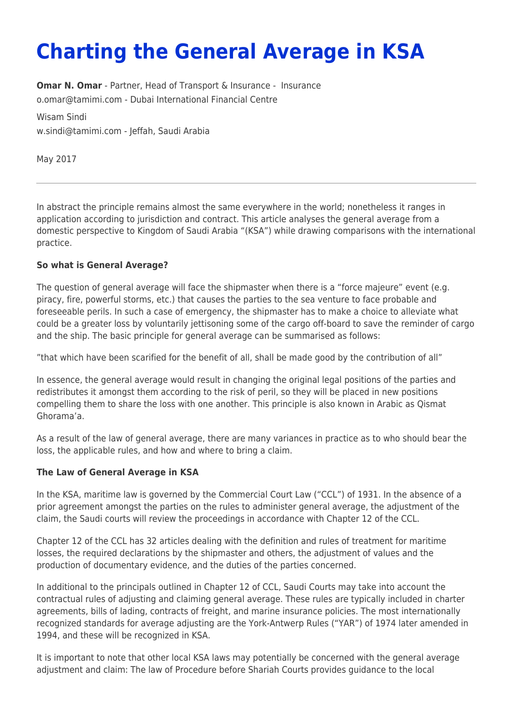# **Charting the General Average in KSA**

**[Omar N. Omar](https://www.tamimi.com/find-a-lawyer/omar-omar/)** - Partner, Head of Transport & [Insurance](https://www.tamimi.com/client-services/practices/insurance/) - Insurance [o.omar@tamimi.com](mailto:o.omar@tamimi.com) - [Dubai International Financial Centre](https://www.tamimi.com/locations/uae/)

Wisam Sindi [w.sindi@tamimi.com](mailto:w.sindi@tamimi.com) - Jeffah, Saudi Arabia

May 2017

In abstract the principle remains almost the same everywhere in the world; nonetheless it ranges in application according to jurisdiction and contract. This article analyses the general average from a domestic perspective to Kingdom of Saudi Arabia "(KSA") while drawing comparisons with the international practice.

## **So what is General Average?**

The question of general average will face the shipmaster when there is a "force majeure" event (e.g. piracy, fire, powerful storms, etc.) that causes the parties to the sea venture to face probable and foreseeable perils. In such a case of emergency, the shipmaster has to make a choice to alleviate what could be a greater loss by voluntarily jettisoning some of the cargo off-board to save the reminder of cargo and the ship. The basic principle for general average can be summarised as follows:

"that which have been scarified for the benefit of all, shall be made good by the contribution of all"

In essence, the general average would result in changing the original legal positions of the parties and redistributes it amongst them according to the risk of peril, so they will be placed in new positions compelling them to share the loss with one another. This principle is also known in Arabic as Qismat Ghorama'a.

As a result of the law of general average, there are many variances in practice as to who should bear the loss, the applicable rules, and how and where to bring a claim.

## **The Law of General Average in KSA**

In the KSA, maritime law is governed by the Commercial Court Law ("CCL") of 1931. In the absence of a prior agreement amongst the parties on the rules to administer general average, the adjustment of the claim, the Saudi courts will review the proceedings in accordance with Chapter 12 of the CCL.

Chapter 12 of the CCL has 32 articles dealing with the definition and rules of treatment for maritime losses, the required declarations by the shipmaster and others, the adjustment of values and the production of documentary evidence, and the duties of the parties concerned.

In additional to the principals outlined in Chapter 12 of CCL, Saudi Courts may take into account the contractual rules of adjusting and claiming general average. These rules are typically included in charter agreements, bills of lading, contracts of freight, and marine insurance policies. The most internationally recognized standards for average adjusting are the York-Antwerp Rules ("YAR") of 1974 later amended in 1994, and these will be recognized in KSA.

It is important to note that other local KSA laws may potentially be concerned with the general average adjustment and claim: The law of Procedure before Shariah Courts provides guidance to the local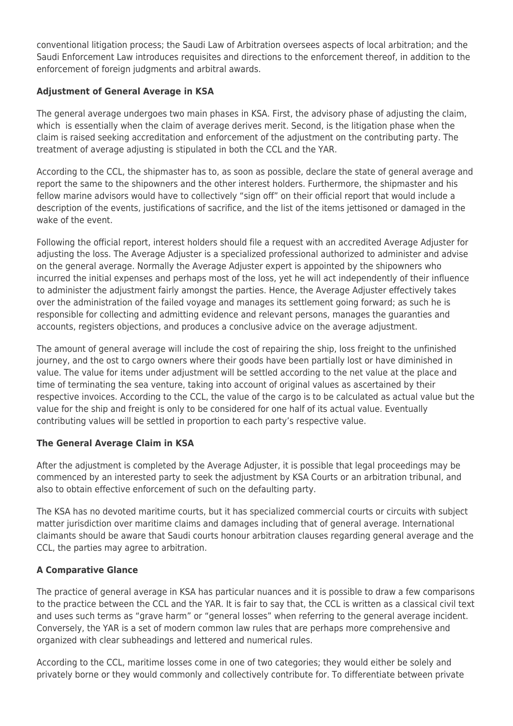conventional litigation process; the Saudi Law of Arbitration oversees aspects of local arbitration; and the Saudi Enforcement Law introduces requisites and directions to the enforcement thereof, in addition to the enforcement of foreign judgments and arbitral awards.

## **Adjustment of General Average in KSA**

The general average undergoes two main phases in KSA. First, the advisory phase of adjusting the claim, which is essentially when the claim of average derives merit. Second, is the litigation phase when the claim is raised seeking accreditation and enforcement of the adjustment on the contributing party. The treatment of average adjusting is stipulated in both the CCL and the YAR.

According to the CCL, the shipmaster has to, as soon as possible, declare the state of general average and report the same to the shipowners and the other interest holders. Furthermore, the shipmaster and his fellow marine advisors would have to collectively "sign off" on their official report that would include a description of the events, justifications of sacrifice, and the list of the items jettisoned or damaged in the wake of the event.

Following the official report, interest holders should file a request with an accredited Average Adjuster for adjusting the loss. The Average Adjuster is a specialized professional authorized to administer and advise on the general average. Normally the Average Adjuster expert is appointed by the shipowners who incurred the initial expenses and perhaps most of the loss, yet he will act independently of their influence to administer the adjustment fairly amongst the parties. Hence, the Average Adjuster effectively takes over the administration of the failed voyage and manages its settlement going forward; as such he is responsible for collecting and admitting evidence and relevant persons, manages the guaranties and accounts, registers objections, and produces a conclusive advice on the average adjustment.

The amount of general average will include the cost of repairing the ship, loss freight to the unfinished journey, and the ost to cargo owners where their goods have been partially lost or have diminished in value. The value for items under adjustment will be settled according to the net value at the place and time of terminating the sea venture, taking into account of original values as ascertained by their respective invoices. According to the CCL, the value of the cargo is to be calculated as actual value but the value for the ship and freight is only to be considered for one half of its actual value. Eventually contributing values will be settled in proportion to each party's respective value.

## **The General Average Claim in KSA**

After the adjustment is completed by the Average Adjuster, it is possible that legal proceedings may be commenced by an interested party to seek the adjustment by KSA Courts or an arbitration tribunal, and also to obtain effective enforcement of such on the defaulting party.

The KSA has no devoted maritime courts, but it has specialized commercial courts or circuits with subject matter jurisdiction over maritime claims and damages including that of general average. International claimants should be aware that Saudi courts honour arbitration clauses regarding general average and the CCL, the parties may agree to arbitration.

## **A Comparative Glance**

The practice of general average in KSA has particular nuances and it is possible to draw a few comparisons to the practice between the CCL and the YAR. It is fair to say that, the CCL is written as a classical civil text and uses such terms as "grave harm" or "general losses" when referring to the general average incident. Conversely, the YAR is a set of modern common law rules that are perhaps more comprehensive and organized with clear subheadings and lettered and numerical rules.

According to the CCL, maritime losses come in one of two categories; they would either be solely and privately borne or they would commonly and collectively contribute for. To differentiate between private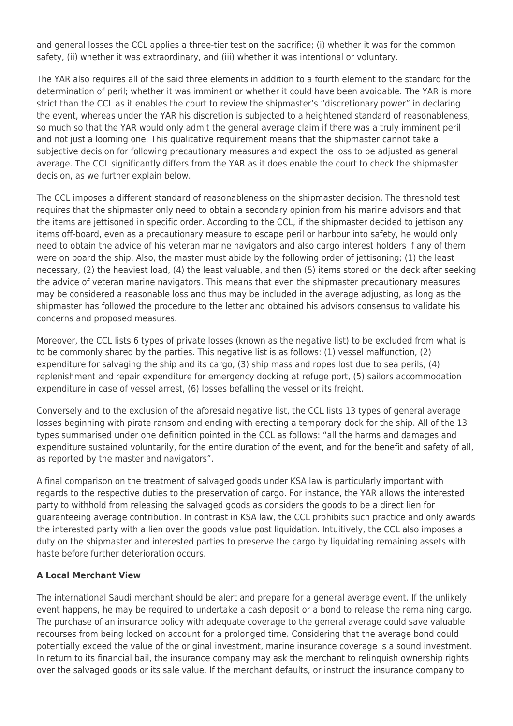and general losses the CCL applies a three-tier test on the sacrifice; (i) whether it was for the common safety, (ii) whether it was extraordinary, and (iii) whether it was intentional or voluntary.

The YAR also requires all of the said three elements in addition to a fourth element to the standard for the determination of peril; whether it was imminent or whether it could have been avoidable. The YAR is more strict than the CCL as it enables the court to review the shipmaster's "discretionary power" in declaring the event, whereas under the YAR his discretion is subjected to a heightened standard of reasonableness, so much so that the YAR would only admit the general average claim if there was a truly imminent peril and not just a looming one. This qualitative requirement means that the shipmaster cannot take a subjective decision for following precautionary measures and expect the loss to be adjusted as general average. The CCL significantly differs from the YAR as it does enable the court to check the shipmaster decision, as we further explain below.

The CCL imposes a different standard of reasonableness on the shipmaster decision. The threshold test requires that the shipmaster only need to obtain a secondary opinion from his marine advisors and that the items are jettisoned in specific order. According to the CCL, if the shipmaster decided to jettison any items off-board, even as a precautionary measure to escape peril or harbour into safety, he would only need to obtain the advice of his veteran marine navigators and also cargo interest holders if any of them were on board the ship. Also, the master must abide by the following order of jettisoning; (1) the least necessary, (2) the heaviest load, (4) the least valuable, and then (5) items stored on the deck after seeking the advice of veteran marine navigators. This means that even the shipmaster precautionary measures may be considered a reasonable loss and thus may be included in the average adjusting, as long as the shipmaster has followed the procedure to the letter and obtained his advisors consensus to validate his concerns and proposed measures.

Moreover, the CCL lists 6 types of private losses (known as the negative list) to be excluded from what is to be commonly shared by the parties. This negative list is as follows: (1) vessel malfunction, (2) expenditure for salvaging the ship and its cargo, (3) ship mass and ropes lost due to sea perils, (4) replenishment and repair expenditure for emergency docking at refuge port, (5) sailors accommodation expenditure in case of vessel arrest, (6) losses befalling the vessel or its freight.

Conversely and to the exclusion of the aforesaid negative list, the CCL lists 13 types of general average losses beginning with pirate ransom and ending with erecting a temporary dock for the ship. All of the 13 types summarised under one definition pointed in the CCL as follows: "all the harms and damages and expenditure sustained voluntarily, for the entire duration of the event, and for the benefit and safety of all, as reported by the master and navigators".

A final comparison on the treatment of salvaged goods under KSA law is particularly important with regards to the respective duties to the preservation of cargo. For instance, the YAR allows the interested party to withhold from releasing the salvaged goods as considers the goods to be a direct lien for guaranteeing average contribution. In contrast in KSA law, the CCL prohibits such practice and only awards the interested party with a lien over the goods value post liquidation. Intuitively, the CCL also imposes a duty on the shipmaster and interested parties to preserve the cargo by liquidating remaining assets with haste before further deterioration occurs.

## **A Local Merchant View**

The international Saudi merchant should be alert and prepare for a general average event. If the unlikely event happens, he may be required to undertake a cash deposit or a bond to release the remaining cargo. The purchase of an insurance policy with adequate coverage to the general average could save valuable recourses from being locked on account for a prolonged time. Considering that the average bond could potentially exceed the value of the original investment, marine insurance coverage is a sound investment. In return to its financial bail, the insurance company may ask the merchant to relinquish ownership rights over the salvaged goods or its sale value. If the merchant defaults, or instruct the insurance company to